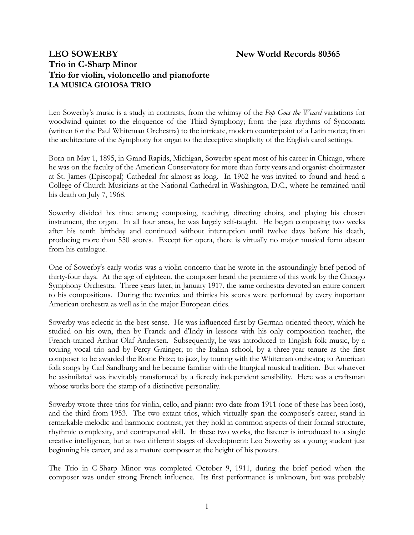# **LEO SOWERBY** New World Records 80365 **Trio in C-Sharp Minor Trio for violin, violoncello and pianoforte LA MUSICA GIOIOSA TRIO**

Leo Sowerby's music is a study in contrasts, from the whimsy of the *Pop Goes the Weasel* variations for woodwind quintet to the eloquence of the Third Symphony; from the jazz rhythms of Synconata (written for the Paul Whiteman Orchestra) to the intricate, modern counterpoint of a Latin motet; from the architecture of the Symphony for organ to the deceptive simplicity of the English carol settings.

Born on May 1, 1895, in Grand Rapids, Michigan, Sowerby spent most of his career in Chicago, where he was on the faculty of the American Conservatory for more than forty years and organist-choirmaster at St. James (Episcopal) Cathedral for almost as long. In 1962 he was invited to found and head a College of Church Musicians at the National Cathedral in Washington, D.C., where he remained until his death on July 7, 1968.

Sowerby divided his time among composing, teaching, directing choirs, and playing his chosen instrument, the organ. In all four areas, he was largely self-taught. He began composing two weeks after his tenth birthday and continued without interruption until twelve days before his death, producing more than 550 scores. Except for opera, there is virtually no major musical form absent from his catalogue.

One of Sowerby's early works was a violin concerto that he wrote in the astoundingly brief period of thirty-four days. At the age of eighteen, the composer heard the premiere of this work by the Chicago Symphony Orchestra. Three years later, in January 1917, the same orchestra devoted an entire concert to his compositions. During the twenties and thirties his scores were performed by every important American orchestra as well as in the major European cities.

Sowerby was eclectic in the best sense. He was influenced first by German-oriented theory, which he studied on his own, then by Franck and d'Indy in lessons with his only composition teacher, the French-trained Arthur Olaf Andersen. Subsequently, he was introduced to English folk music, by a touring vocal trio and by Percy Grainger; to the Italian school, by a three-year tenure as the first composer to be awarded the Rome Prize; to jazz, by touring with the Whiteman orchestra; to American folk songs by Carl Sandburg; and he became familiar with the liturgical musical tradition. But whatever he assimilated was inevitably transformed by a fiercely independent sensibility. Here was a craftsman whose works bore the stamp of a distinctive personality.

Sowerby wrote three trios for violin, cello, and piano: two date from 1911 (one of these has been lost), and the third from 1953. The two extant trios, which virtually span the composer's career, stand in remarkable melodic and harmonic contrast, yet they hold in common aspects of their formal structure, rhythmic complexity, and contrapuntal skill. In these two works, the listener is introduced to a single creative intelligence, but at two different stages of development: Leo Sowerby as a young student just beginning his career, and as a mature composer at the height of his powers.

The Trio in C-Sharp Minor was completed October 9, 1911, during the brief period when the composer was under strong French influence. Its first performance is unknown, but was probably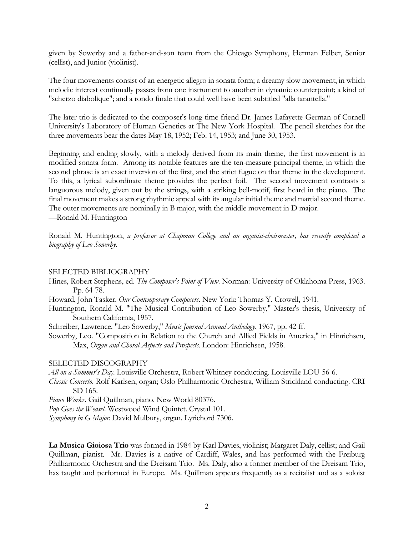given by Sowerby and a father-and-son team from the Chicago Symphony, Herman Felber, Senior (cellist), and Junior (violinist).

The four movements consist of an energetic allegro in sonata form; a dreamy slow movement, in which melodic interest continually passes from one instrument to another in dynamic counterpoint; a kind of "scherzo diabolique"; and a rondo finale that could well have been subtitled "alla tarantella."

The later trio is dedicated to the composer's long time friend Dr. James Lafayette German of Cornell University's Laboratory of Human Genetics at The New York Hospital. The pencil sketches for the three movements bear the dates May 18, 1952; Feb. 14, 1953; and June 30, 1953.

Beginning and ending slowly, with a melody derived from its main theme, the first movement is in modified sonata form. Among its notable features are the ten-measure principal theme, in which the second phrase is an exact inversion of the first, and the strict fugue on that theme in the development. To this, a lyrical subordinate theme provides the perfect foil. The second movement contrasts a languorous melody, given out by the strings, with a striking bell-motif, first heard in the piano. The final movement makes a strong rhythmic appeal with its angular initial theme and martial second theme. The outer movements are nominally in B major, with the middle movement in D major. —Ronald M. Huntington

Ronald M. Huntington, *a professor at Chapman College and an organist-choirmaster, has recently completed a biography of Leo Sowerby.*

### SELECTED BIBLIOGRAPHY

- Hines, Robert Stephens, ed. *The Composer's Point of View*. Norman: University of Oklahoma Press, 1963. Pp. 64-78.
- Howard, John Tasker. *Our Contemporary Composers*. New York: Thomas Y. Crowell, 1941.
- Huntington, Ronald M. "The Musical Contribution of Leo Sowerby," Master's thesis, University of Southern California, 1957.

Schreiber, Lawrence. "Leo Sowerby," *Music Journal Annual Anthology*, 1967, pp. 42 ff.

Sowerby, Leo. "Composition in Relation to the Church and Allied Fields in America," in Hinrichsen, Max, *Organ and Choral Aspects and Prospects*. London: Hinrichsen, 1958.

### SELECTED DISCOGRAPHY

*All on a Summer's Day*. Louisville Orchestra, Robert Whitney conducting. Louisville LOU-56-6.

*Classic Concerto*. Rolf Karlsen, organ; Oslo Philharmonic Orchestra, William Strickland conducting. CRI SD 165.

*Piano Works*. Gail Quillman, piano. New World 80376.

*Pop Goes the Weasel*. Westwood Wind Quintet. Crystal 101.

*Symphony in G Major*. David Mulbury, organ. Lyrichord 7306.

**La Musica Gioiosa Trio** was formed in 1984 by Karl Davies, violinist; Margaret Daly, cellist; and Gail Quillman, pianist. Mr. Davies is a native of Cardiff, Wales, and has performed with the Freiburg Philharmonic Orchestra and the Dreisam Trio. Ms. Daly, also a former member of the Dreisam Trio, has taught and performed in Europe. Ms. Quillman appears frequently as a recitalist and as a soloist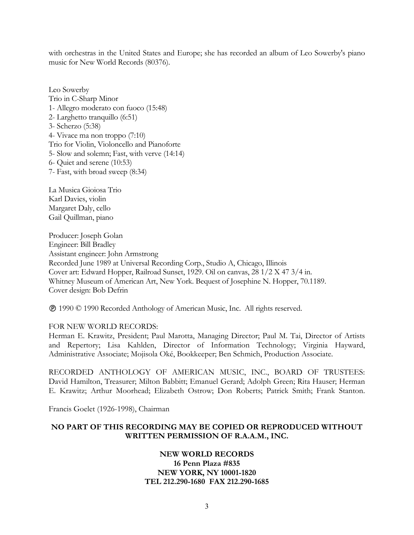with orchestras in the United States and Europe; she has recorded an album of Leo Sowerby's piano music for New World Records (80376).

Leo Sowerby Trio in C-Sharp Minor 1- Allegro moderato con fuoco (15:48) 2- Larghetto tranquillo (6:51) 3- Scherzo (5:38) 4- Vivace ma non troppo (7:10) Trio for Violin, Violoncello and Pianoforte 5- Slow and solemn; Fast, with verve (14:14) 6- Quiet and serene (10:53) 7- Fast, with broad sweep (8:34)

La Musica Gioiosa Trio Karl Davies, violin Margaret Daly, cello Gail Quillman, piano

Producer: Joseph Golan Engineer: Bill Bradley Assistant engineer: John Armstrong Recorded June 1989 at Universal Recording Corp., Studio A, Chicago, Illinois Cover art: Edward Hopper, Railroad Sunset, 1929. Oil on canvas, 28 1/2 X 47 3/4 in. Whitney Museum of American Art, New York. Bequest of Josephine N. Hopper, 70.1189. Cover design: Bob Defrin

1990 © 1990 Recorded Anthology of American Music, Inc. All rights reserved.

### FOR NEW WORLD RECORDS:

Herman E. Krawitz, President; Paul Marotta, Managing Director; Paul M. Tai, Director of Artists and Repertory; Lisa Kahlden, Director of Information Technology; Virginia Hayward, Administrative Associate; Mojisola Oké, Bookkeeper; Ben Schmich, Production Associate.

RECORDED ANTHOLOGY OF AMERICAN MUSIC, INC., BOARD OF TRUSTEES: David Hamilton, Treasurer; Milton Babbitt; Emanuel Gerard; Adolph Green; Rita Hauser; Herman E. Krawitz; Arthur Moorhead; Elizabeth Ostrow; Don Roberts; Patrick Smith; Frank Stanton.

Francis Goelet (1926-1998), Chairman

# **NO PART OF THIS RECORDING MAY BE COPIED OR REPRODUCED WITHOUT WRITTEN PERMISSION OF R.A.A.M., INC.**

## **NEW WORLD RECORDS 16 Penn Plaza #835 NEW YORK, NY 10001-1820 TEL 212.290-1680 FAX 212.290-1685**